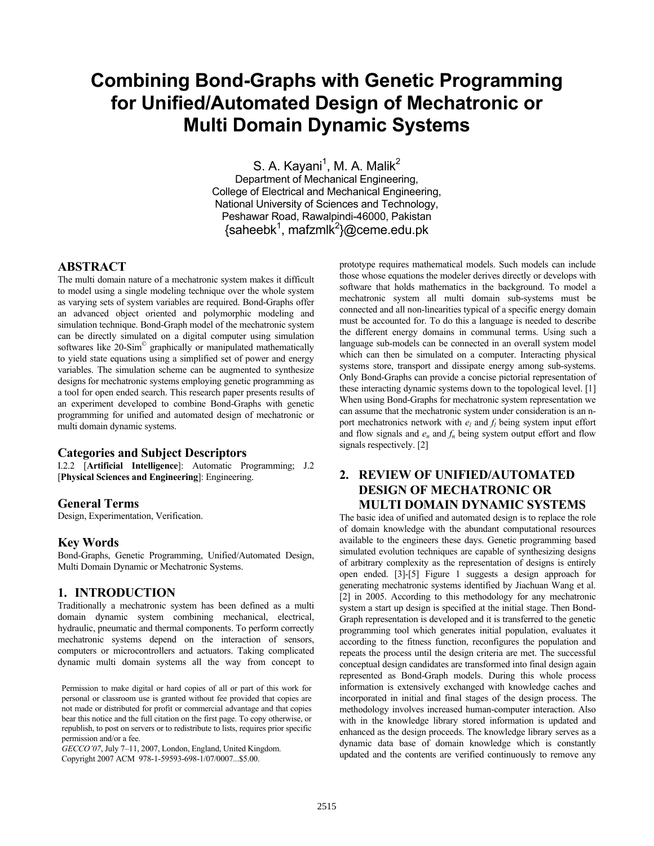# **Combining Bond-Graphs with Genetic Programming for Unified/Automated Design of Mechatronic or Multi Domain Dynamic Systems**

S. A. Kayani<sup>1</sup>, M. A. Malik<sup>2</sup> Department of Mechanical Engineering, College of Electrical and Mechanical Engineering, National University of Sciences and Technology, Peshawar Road, Rawalpindi-46000, Pakistan {saheebk<sup>1</sup>, mafzmlk<sup>2</sup>}@ceme.edu.pk

# **ABSTRACT**

The multi domain nature of a mechatronic system makes it difficult to model using a single modeling technique over the whole system as varying sets of system variables are required. Bond-Graphs offer an advanced object oriented and polymorphic modeling and simulation technique. Bond-Graph model of the mechatronic system can be directly simulated on a digital computer using simulation softwares like 20-Sim<sup>®</sup> graphically or manipulated mathematically to yield state equations using a simplified set of power and energy variables. The simulation scheme can be augmented to synthesize designs for mechatronic systems employing genetic programming as a tool for open ended search. This research paper presents results of an experiment developed to combine Bond-Graphs with genetic programming for unified and automated design of mechatronic or multi domain dynamic systems.

### **Categories and Subject Descriptors**

I.2.2 [**Artificial Intelligence**]: Automatic Programming; J.2 [**Physical Sciences and Engineering**]: Engineering.

### **General Terms**

Design, Experimentation, Verification.

### **Key Words**

Bond-Graphs, Genetic Programming, Unified/Automated Design, Multi Domain Dynamic or Mechatronic Systems.

## **1. INTRODUCTION**

Traditionally a mechatronic system has been defined as a multi domain dynamic system combining mechanical, electrical, hydraulic, pneumatic and thermal components. To perform correctly mechatronic systems depend on the interaction of sensors, computers or microcontrollers and actuators. Taking complicated dynamic multi domain systems all the way from concept to

*GECCO'07*, July 7–11, 2007, London, England, United Kingdom. Copyright 2007 ACM 978-1-59593-698-1/07/0007...\$5.00.

prototype requires mathematical models. Such models can include those whose equations the modeler derives directly or develops with software that holds mathematics in the background. To model a mechatronic system all multi domain sub-systems must be connected and all non-linearities typical of a specific energy domain must be accounted for. To do this a language is needed to describe the different energy domains in communal terms. Using such a language sub-models can be connected in an overall system model which can then be simulated on a computer. Interacting physical systems store, transport and dissipate energy among sub-systems. Only Bond-Graphs can provide a concise pictorial representation of these interacting dynamic systems down to the topological level. [1] When using Bond-Graphs for mechatronic system representation we can assume that the mechatronic system under consideration is an nport mechatronics network with  $e_l$  and  $f_l$  being system input effort and flow signals and  $e_n$  and  $f_n$  being system output effort and flow signals respectively. [2]

# **2. REVIEW OF UNIFIED/AUTOMATED DESIGN OF MECHATRONIC OR MULTI DOMAIN DYNAMIC SYSTEMS**

The basic idea of unified and automated design is to replace the role of domain knowledge with the abundant computational resources available to the engineers these days. Genetic programming based simulated evolution techniques are capable of synthesizing designs of arbitrary complexity as the representation of designs is entirely open ended. [3]-[5] Figure 1 suggests a design approach for generating mechatronic systems identified by Jiachuan Wang et al. [2] in 2005. According to this methodology for any mechatronic system a start up design is specified at the initial stage. Then Bond-Graph representation is developed and it is transferred to the genetic programming tool which generates initial population, evaluates it according to the fitness function, reconfigures the population and repeats the process until the design criteria are met. The successful conceptual design candidates are transformed into final design again represented as Bond-Graph models. During this whole process information is extensively exchanged with knowledge caches and incorporated in initial and final stages of the design process. The methodology involves increased human-computer interaction. Also with in the knowledge library stored information is updated and enhanced as the design proceeds. The knowledge library serves as a dynamic data base of domain knowledge which is constantly updated and the contents are verified continuously to remove any

Permission to make digital or hard copies of all or part of this work for personal or classroom use is granted without fee provided that copies are not made or distributed for profit or commercial advantage and that copies bear this notice and the full citation on the first page. To copy otherwise, or republish, to post on servers or to redistribute to lists, requires prior specific permission and/or a fee.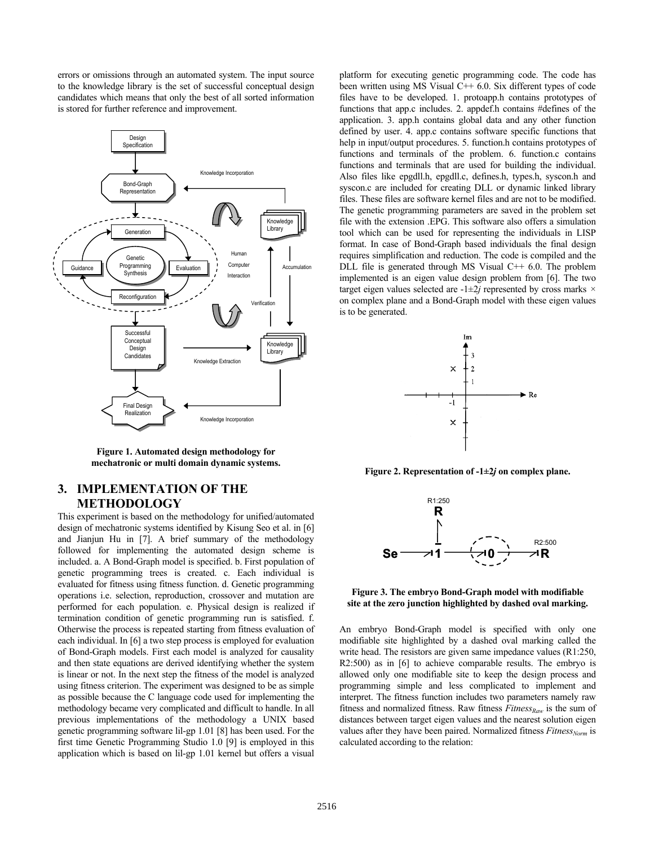errors or omissions through an automated system. The input source to the knowledge library is the set of successful conceptual design candidates which means that only the best of all sorted information is stored for further reference and improvement.



**Figure 1. Automated design methodology for mechatronic or multi domain dynamic systems.** 

# **3. IMPLEMENTATION OF THE METHODOLOGY**

This experiment is based on the methodology for unified/automated design of mechatronic systems identified by Kisung Seo et al. in [6] and Jianjun Hu in [7]. A brief summary of the methodology followed for implementing the automated design scheme is included. a. A Bond-Graph model is specified. b. First population of genetic programming trees is created. c. Each individual is evaluated for fitness using fitness function. d. Genetic programming operations i.e. selection, reproduction, crossover and mutation are performed for each population. e. Physical design is realized if termination condition of genetic programming run is satisfied. f. Otherwise the process is repeated starting from fitness evaluation of each individual. In [6] a two step process is employed for evaluation of Bond-Graph models. First each model is analyzed for causality and then state equations are derived identifying whether the system is linear or not. In the next step the fitness of the model is analyzed using fitness criterion. The experiment was designed to be as simple as possible because the C language code used for implementing the methodology became very complicated and difficult to handle. In all previous implementations of the methodology a UNIX based genetic programming software lil-gp 1.01 [8] has been used. For the first time Genetic Programming Studio 1.0 [9] is employed in this application which is based on lil-gp 1.01 kernel but offers a visual

platform for executing genetic programming code. The code has been written using MS Visual  $C++ 6.0$ . Six different types of code files have to be developed. 1. protoapp.h contains prototypes of functions that app.c includes. 2. appdef.h contains #defines of the application. 3. app.h contains global data and any other function defined by user. 4. app.c contains software specific functions that help in input/output procedures. 5. function.h contains prototypes of functions and terminals of the problem. 6. function.c contains functions and terminals that are used for building the individual. Also files like epgdll.h, epgdll.c, defines.h, types.h, syscon.h and syscon.c are included for creating DLL or dynamic linked library files. These files are software kernel files and are not to be modified. The genetic programming parameters are saved in the problem set file with the extension .EPG. This software also offers a simulation tool which can be used for representing the individuals in LISP format. In case of Bond-Graph based individuals the final design requires simplification and reduction. The code is compiled and the DLL file is generated through MS Visual  $C++ 6.0$ . The problem implemented is an eigen value design problem from [6]. The two target eigen values selected are -1±2*j* represented by cross marks *×* on complex plane and a Bond-Graph model with these eigen values is to be generated.



**Figure 2. Representation of -1±2***j* **on complex plane.** 



#### **Figure 3. The embryo Bond-Graph model with modifiable site at the zero junction highlighted by dashed oval marking.**

An embryo Bond-Graph model is specified with only one modifiable site highlighted by a dashed oval marking called the write head. The resistors are given same impedance values (R1:250, R2:500) as in [6] to achieve comparable results. The embryo is allowed only one modifiable site to keep the design process and programming simple and less complicated to implement and interpret. The fitness function includes two parameters namely raw fitness and normalized fitness. Raw fitness  $Fitness_{Raw}$  is the sum of distances between target eigen values and the nearest solution eigen values after they have been paired. Normalized fitness *Fitness<sub>Norm</sub>* is calculated according to the relation: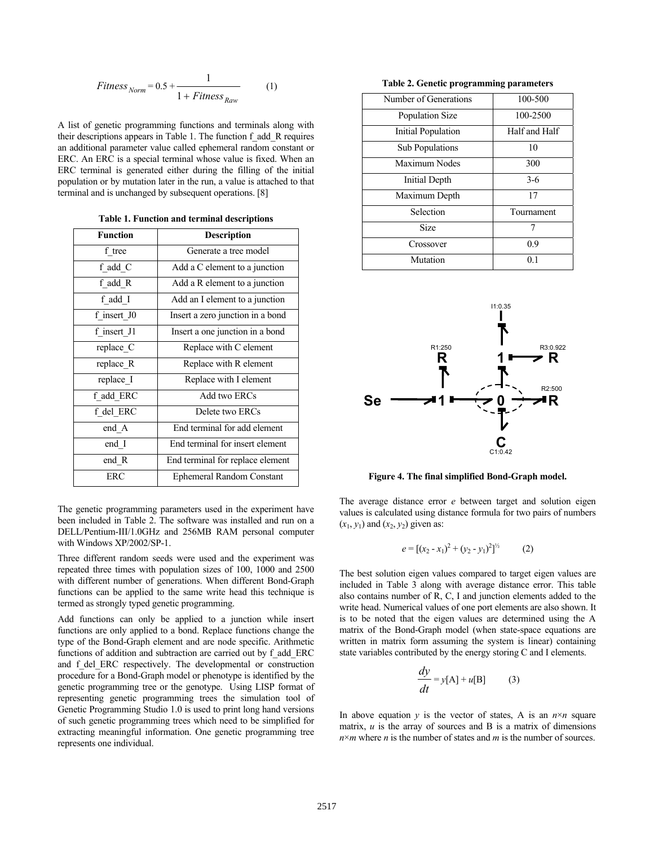$$
Fitness_{Norm} = 0.5 + \frac{1}{1 + Fitness_{Raw}}
$$
 (1)

A list of genetic programming functions and terminals along with their descriptions appears in Table 1. The function f\_add\_R requires an additional parameter value called ephemeral random constant or ERC. An ERC is a special terminal whose value is fixed. When an ERC terminal is generated either during the filling of the initial population or by mutation later in the run, a value is attached to that terminal and is unchanged by subsequent operations. [8]

| <b>Function</b> | <b>Description</b>               |  |
|-----------------|----------------------------------|--|
| f tree          | Generate a tree model            |  |
| f add C         | Add a C element to a junction    |  |
| f add R         | Add a R element to a junction    |  |
| f add I         | Add an I element to a junction   |  |
| f insert J0     | Insert a zero junction in a bond |  |
| f insert J1     | Insert a one junction in a bond  |  |
| replace C       | Replace with C element           |  |
| replace R       | Replace with R element           |  |
| replace I       | Replace with I element           |  |
| f_add_ERC       | Add two ERCs                     |  |
| f del ERC       | Delete two ERCs                  |  |
| end A           | End terminal for add element     |  |
| end I           | End terminal for insert element  |  |
| end R           | End terminal for replace element |  |
| <b>ERC</b>      | Ephemeral Random Constant        |  |
|                 |                                  |  |

**Table 1. Function and terminal descriptions** 

The genetic programming parameters used in the experiment have been included in Table 2. The software was installed and run on a DELL/Pentium-III/1.0GHz and 256MB RAM personal computer with Windows XP/2002/SP-1.

Three different random seeds were used and the experiment was repeated three times with population sizes of 100, 1000 and 2500 with different number of generations. When different Bond-Graph functions can be applied to the same write head this technique is termed as strongly typed genetic programming.

Add functions can only be applied to a junction while insert functions are only applied to a bond. Replace functions change the type of the Bond-Graph element and are node specific. Arithmetic functions of addition and subtraction are carried out by f\_add\_ERC and f del ERC respectively. The developmental or construction procedure for a Bond-Graph model or phenotype is identified by the genetic programming tree or the genotype. Using LISP format of representing genetic programming trees the simulation tool of Genetic Programming Studio 1.0 is used to print long hand versions of such genetic programming trees which need to be simplified for extracting meaningful information. One genetic programming tree represents one individual.

**Table 2. Genetic programming parameters** 

| Number of Generations | 100-500       |
|-----------------------|---------------|
| Population Size       | 100-2500      |
| Initial Population    | Half and Half |
| Sub Populations       | 10            |
| Maximum Nodes         | 300           |
| Initial Depth         | $3-6$         |
| Maximum Depth         | 17            |
| Selection             | Tournament    |
| <b>Size</b>           | 7             |
| Crossover             | 0.9           |
| Mutation              | 01            |



**Figure 4. The final simplified Bond-Graph model.** 

The average distance error *e* between target and solution eigen values is calculated using distance formula for two pairs of numbers  $(x_1, y_1)$  and  $(x_2, y_2)$  given as:

$$
e = [(x_2 - x_1)^2 + (y_2 - y_1)^2]^{1/2}
$$
 (2)

The best solution eigen values compared to target eigen values are included in Table 3 along with average distance error. This table also contains number of R, C, I and junction elements added to the write head. Numerical values of one port elements are also shown. It is to be noted that the eigen values are determined using the A matrix of the Bond-Graph model (when state-space equations are written in matrix form assuming the system is linear) containing state variables contributed by the energy storing C and I elements.

$$
\frac{dy}{dt} = y[A] + u[B] \tag{3}
$$

In above equation *y* is the vector of states, A is an  $n \times n$  square matrix,  $u$  is the array of sources and  $B$  is a matrix of dimensions *n*×*m* where *n* is the number of states and *m* is the number of sources.